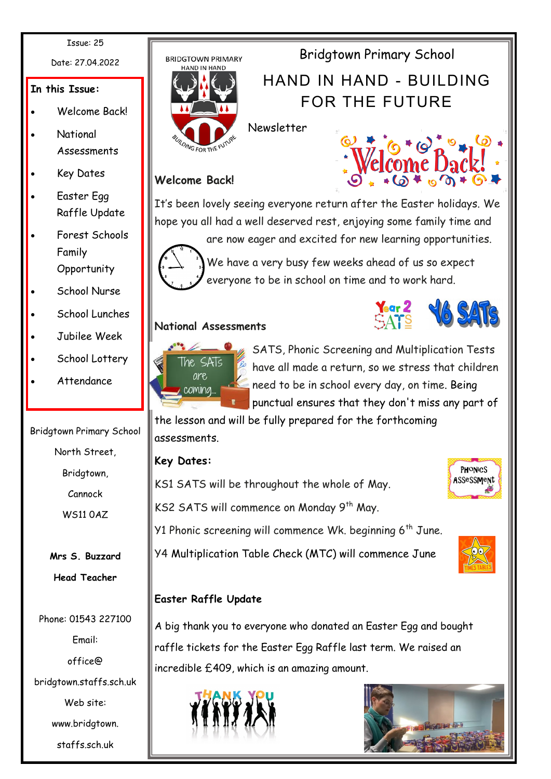Issue: 25

Date: 27.04.2022

### **In this Issue:**

- Welcome Back!
- National Assessments
- Key Dates
- Easter Egg Raffle Update
- Forest Schools Family **Opportunity**
- School Nurse
- School Lunches
- Jubilee Week
- School Lottery
- Attendance

Bridgtown Primary School North Street, Bridgtown, Cannock WS11 0AZ

> **Mrs S. Buzzard Head Teacher**

Phone: 01543 227100 Email: office@ bridgtown.staffs.sch.uk Web site: www.bridgtown. staffs.sch.uk



Newsletter



Bridgtown Primary School

HAND IN HAND - BUILDING

FOR THE FUTURE

## **Welcome Back!**

It's been lovely seeing everyone return after the Easter holidays. We hope you all had a well deserved rest, enjoying some family time and are now eager and excited for new learning opportunities.



We have a very busy few weeks ahead of us so expect everyone to be in school on time and to work hard.

## **National Assessments**





SATS, Phonic Screening and Multiplication Tests have all made a return, so we stress that children need to be in school every day, on time. Being punctual ensures that they don't miss any part of

the lesson and will be fully prepared for the forthcoming assessments.

# **Key Dates:**



KS2 SATS will commence on Monday 9<sup>th</sup> May.

KS1 SATS will be throughout the whole of May.

Y1 Phonic screening will commence Wk. beginning  $6<sup>th</sup>$  June.

Y4 Multiplication Table Check (MTC) will commence June



# **Easter Raffle Update**

A big thank you to everyone who donated an Easter Egg and bought raffle tickets for the Easter Egg Raffle last term. We raised an incredible £409, which is an amazing amount.



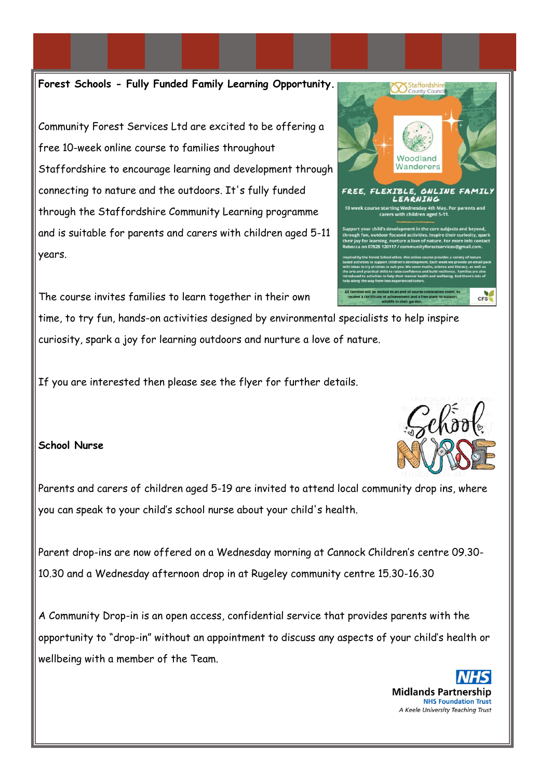**Forest Schools - Fully Funded Family Learning Opportunity.**

Community Forest Services Ltd are excited to be offering a free 10-week online course to families throughout Staffordshire to encourage learning and development through connecting to nature and the outdoors. It's fully funded through the Staffordshire Community Learning programme and is suitable for parents and carers with children aged 5-11 years.

The course invites families to learn together in their own

time, to try fun, hands-on activities designed by environmental specialists to help inspire curiosity, spark a joy for learning outdoors and nurture a love of nature.

If you are interested then please see the flyer for further details.

### **School Nurse**

Parents and carers of children aged 5-19 are invited to attend local community drop ins, where you can speak to your child"s school nurse about your child's health.

Parent drop-ins are now offered on a Wednesday morning at Cannock Children"s centre 09.30- 10.30 and a Wednesday afternoon drop in at Rugeley community centre 15.30-16.30

A Community Drop-in is an open access, confidential service that provides parents with the opportunity to "drop-in" without an appointment to discuss any aspects of your child"s health or wellbeing with a member of the Team.



Staffordshir



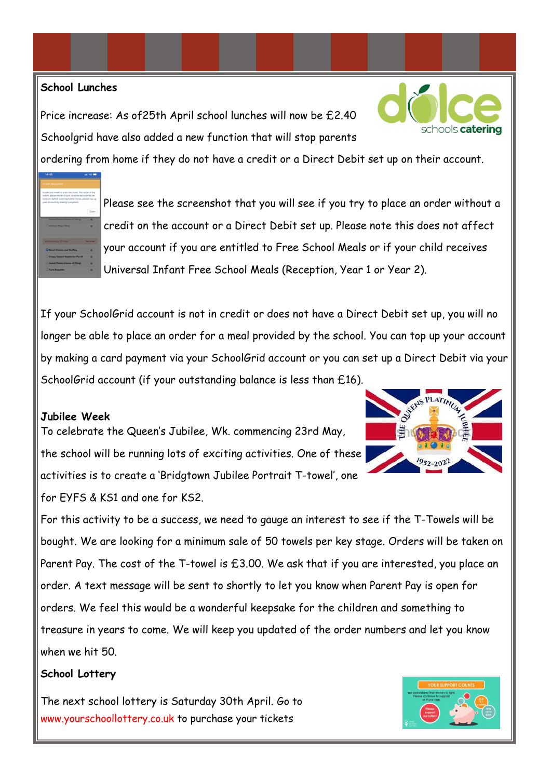### **School Lunches**

Price increase: As of25th April school lunches will now be £2.40 Schoolgrid have also added a new function that will stop parents



ordering from home if they do not have a credit or a Direct Debit set up on their account.



Please see the screenshot that you will see if you try to place an order without a credit on the account or a Direct Debit set up. Please note this does not affect your account if you are entitled to Free School Meals or if your child receives Universal Infant Free School Meals (Reception, Year 1 or Year 2).

If your SchoolGrid account is not in credit or does not have a Direct Debit set up, you will no longer be able to place an order for a meal provided by the school. You can top up your account by making a card payment via your SchoolGrid account or you can set up a Direct Debit via your SchoolGrid account (if your outstanding balance is less than £16).

#### **Jubilee Week**

To celebrate the Queen"s Jubilee, Wk. commencing 23rd May, the school will be running lots of exciting activities. One of these activities is to create a "Bridgtown Jubilee Portrait T-towel", one for EYFS & KS1 and one for KS2.



For this activity to be a success, we need to gauge an interest to see if the T-Towels will be bought. We are looking for a minimum sale of 50 towels per key stage. Orders will be taken on Parent Pay. The cost of the T-towel is £3.00. We ask that if you are interested, you place an order. A text message will be sent to shortly to let you know when Parent Pay is open for orders. We feel this would be a wonderful keepsake for the children and something to treasure in years to come. We will keep you updated of the order numbers and let you know when we hit 50.

### **School Lottery**

The next school lottery is Saturday 30th April. Go to www.yourschoollottery.co.uk to purchase your tickets